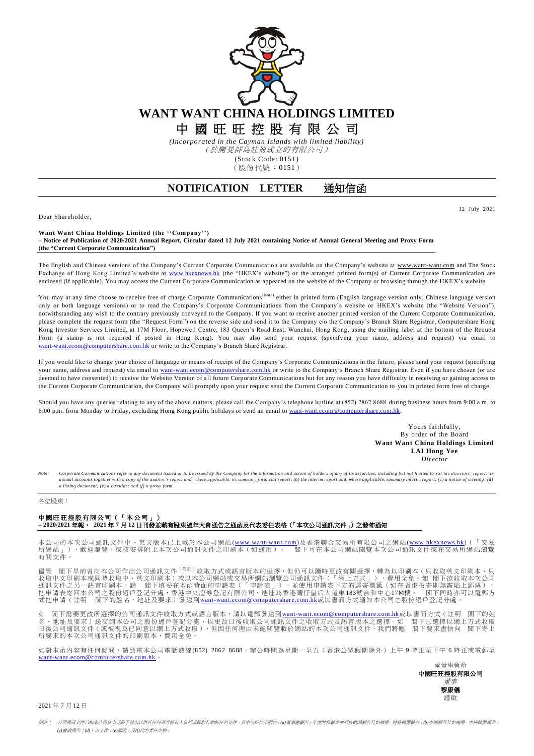

*(Incorporated in the Cayman Islands with limited liability)* (於開曼群島註冊成立的有限公司)

(Stock Code: 0151)

(股份代號:0151)

## **NOTIFICATION LETTER** 通知信函

Dear Shareholder,

12 July 2021

**Want Want China Holdings Limited (the ''Company'') – Notice of Publication of 2020/2021 Annual Report, Circular dated 12 July 2021 containing Notice of Annual General Meeting and Proxy Form (the "Current Corporate Communication")**

The English and Chinese versions of the Company's Current Corporate Communication are available on the Company's website at [www.want-want.com](http://www.want-want.com/) and The Stock Exchange of Hong Kong Limited's website at [www.hkexnews.hk](http://www.hkexnews.hk/) (the "HKEX's website") or the arranged printed form(s) of Current Corporate Communication are enclosed (if applicable). You may access the Current Corporate Communication as appeared on the website of the Company or browsing through the HKEX's website.

You may at any time choose to receive free of charge Corporate Communications<sup>(Note)</sup> either in printed form (English language version only, Chinese language version only or both language versions) or to read the Company's Corporate Communications from the Company's website or HKEX's website (the "Website Version"), notwithstanding any wish to the contrary previously conveyed to the Company. If you want to receive another printed version of the Current Corporate Communication, please complete the request form (the "Request Form") on the reverse side and send it to the Company c/o the Company's Branch Share Registrar, Computershare Hong Kong Investor Services Limited, at 17M Floor, Hopewell Centre, 183 Queen's Road East, Wanchai, Hong Kong, using the mailing label at the bottom of the Request Form (a stamp is not required if posted in Hong Kong). You may also send your request (specifying your name, address and request) via email to [want-want.ecom@computershare.com.hk](mailto:want-want.ecom@computershare.com.hk) or write to the Company's Branch Share Registrar.

If you would like to change your choice of language or means of receipt of the Company's Corporate Communications in the futu re, please send your request (specifying your name, address and request) via email to [want-want.ecom@computershare.com.hk](mailto:want-want.ecom@computershare.com.hk) or write to the Company's Branch Share Registrar. Even if you have chosen (or are deemed to have consented) to receive the Website Version of all future Corporate Communications but for any reason you have difficulty in receiving or gaining access to the Current Corporate Communication, the Company will promptly upon your request send the Current Corporate Communication to you in printed form free of charge.

Should you have any queries relating to any of the above matters, please call the Company's telephone hotline at (852) 2862 8688 during business hours from 9:00 a.m. to 6:00 p.m. from Monday to Friday, excluding Hong Kong public holidays or send an email to [want-want.ecom@computershare.com.hk.](mailto:want-want.ecom@computershare.com.hk)

> Yours faithfully, By order of the Board **Want Want China Holdings Limited LAI Hong Yee** *Director*

Corporate Communications refer to any document issued or to be issued by the Company for the information and action of holders of any of its securities, including but not limited to (a) the directors' report, its annual accounts together with a copy of the auditor's report and, where applicable, its summary financial report; (b) the interim report and, where applicable, summary interim report; (c) a notice of meeting; (d) *a listing document; (e) a circular; and (f) a proxy form.*

## 各位股東:

## 中國旺旺控股有限公司(「本公司」) **– 2020/2021** 年報, **2021** 年 **7** 月 **12** 日刊發並載有股東週年大會通告之通函及代表委任表格(「本次公司通訊文件」)之發佈通知

本公司的本次公司通訊文件中、英文版本已上載於本公司網站(<u>www.want-want.com</u>)及香港聯合交易所有限公司之網站(<u>www.hkexnews.hk</u>)(「交易<br>所網站」),歡迎瀏覽,或按安排附上本次公司通訊文件之印刷本(如適用)。 閣下可在本公司網站閱覽本次公司通訊文件或在交易所網站瀏覽 有關文件 。

儘管 閣下早前曾向本公司作出公司通訊文件<sup>(附註)</sup>收取方式或語言版本的選擇,但仍可以隨時更改有關選擇,轉為以印刷本(只收取英文印刷本、只 收取中文印刷本或同時收取中、英文印刷本)或以本公司網站或交易所網站瀏覽公司通訊文件(「網上方式」),費用全免。如 閣下欲收取本次公司<br>通訊文件之另一語言印刷本,請 閣下填妥在本函背面的申請表(「申請表」),並使用申請表下方的郵寄標籤(如在香港投寄則無需貼上郵票),<br>把申請表寄回本公司之股份過戶登記分處,香港中央證券登記有限公司,地址為香港灣仔皇后大道東183號合和中心17M樓。 閣下同時亦可以電郵方 式把申請(註明 閣下的姓名、地址及要求)發送到[want-want.ecom@computershare.com.hk](mailto:want-want.ecom@computershare.com.hk)或以書面方式通知本公司之股份過戶登記分處。

如 閣下需要更改所選擇的公司通訊文件收取方式或語言版本,請以電郵發送到<u>[want-want.ecom@computershare.com.hk](mailto:want-want.ecom@computershare.com.hk)</u>或以書面方式(註明 閣下的姓 名、地址及要求)送交到本公司之股份過戶登記分處,以更改日後收取公司通訊文件之收取方式及語言版本之選擇。如 閣下已選擇以網上方式收取<br>日後公司通訊文件(或被視為已同意以網上方式收取),但因任何理由未能閱覽載於網站的本次公司通訊文件,我們將應 閣下要求盡快向 閣下寄上 所要求的本次公司通訊文件的印刷版本,費用全免。

如對本函內容有任何疑問,請致電本公司電話熱線(852) 2862 8688,辦公時間為星期一至五(香港公眾假期除外)上午9時正至下午6時正或電郵至 [want-want.ecom@computershare.com.hk](mailto:want-want.ecom@computershare.com.hk) 。



2021 年 7 月 12 日

附註: 公司通訊文件乃指本公司發出或將予發出以供其任何證券持有人參照或採取行動的任何文件,其中包括但不限於:*(a)*董事會報告、年度財務報表連同核數師報告及如適用,財務摘要報告;*(b)*中期報告及如適用,中期摘要報告; *(c)*會議通告;*(d)*上市文件;*(e)*通函;及*(f)*代表委任表格。